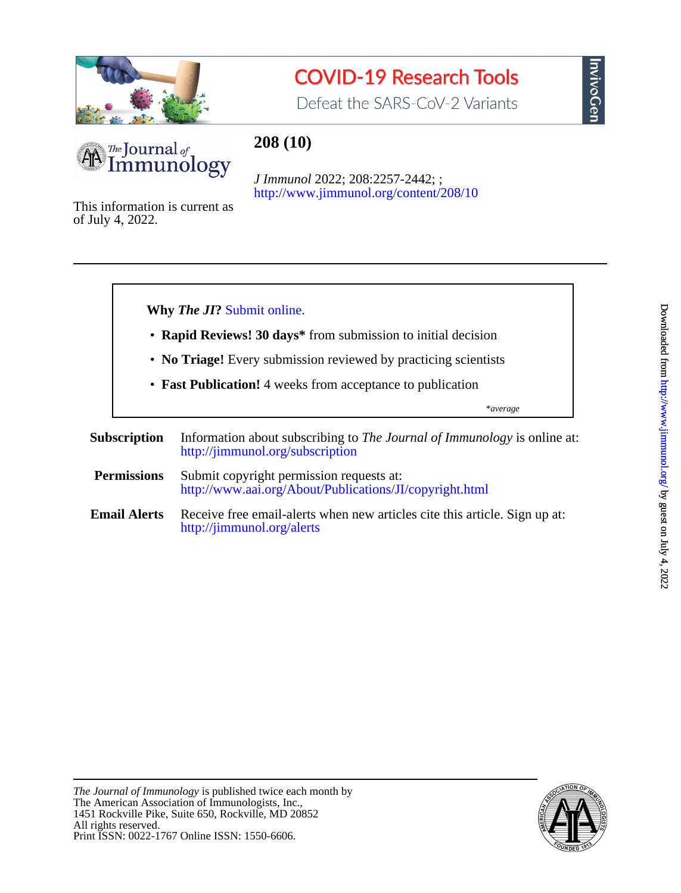

# **COVID-19 Research Tools**

Defeat the SARS-CoV-2 Variants



# **208 (10)**

<http://www.jimmunol.org/content/208/10> *J Immunol* 2022; 208:2257-2442; ;

of July 4, 2022. This information is current as



InvivoGen

Print ISSN: 0022-1767 Online ISSN: 1550-6606. All rights reserved. 1451 Rockville Pike, Suite 650, Rockville, MD 20852 The American Association of Immunologists, Inc., *The Journal of Immunology* is published twice each month by

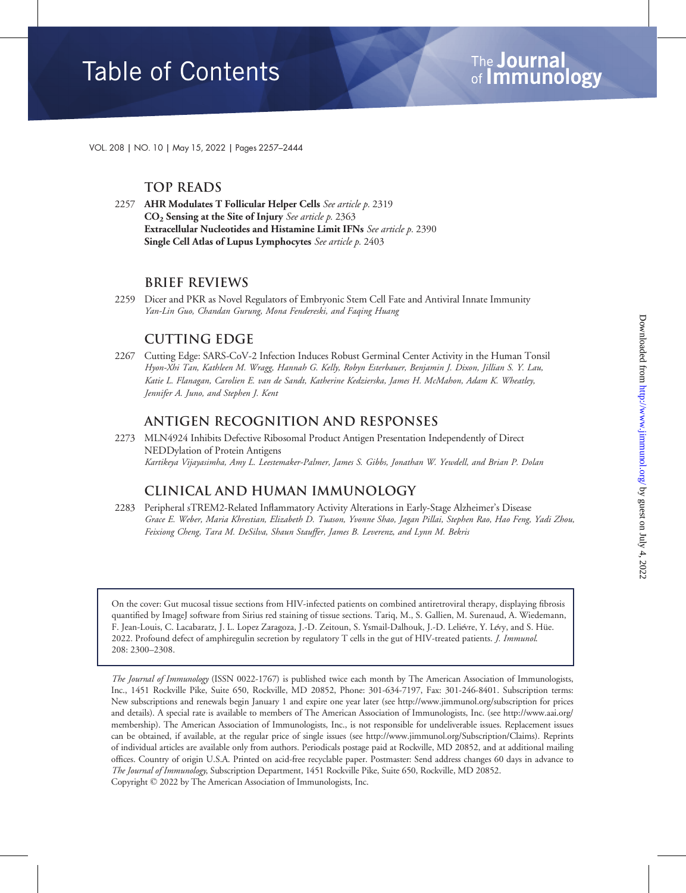VOL. 208 | NO. 10 | May 15, 2022 | Pages 2257–2444

### Top Reads

2257 AHR Modulates T Follicular Helper Cells See article p. 2319  $CO<sub>2</sub>$  Sensing at the Site of Injury *See article p.* 2363 Extracellular Nucleotides and Histamine Limit IFNs See article p. 2390 Single Cell Atlas of Lupus Lymphocytes See article p. 2403

#### Brief Reviews

2259 Dicer and PKR as Novel Regulators of Embryonic Stem Cell Fate and Antiviral Innate Immunity Yan-Lin Guo, Chandan Gurung, Mona Fendereski, and Faqing Huang

## **CUTTING EDGE**

2267 Cutting Edge: SARS-CoV-2 Infection Induces Robust Germinal Center Activity in the Human Tonsil Hyon-Xhi Tan, Kathleen M. Wragg, Hannah G. Kelly, Robyn Esterbauer, Benjamin J. Dixon, Jillian S. Y. Lau, Katie L. Flanagan, Carolien E. van de Sandt, Katherine Kedzierska, James H. McMahon, Adam K. Wheatley, Jennifer A. Juno, and Stephen J. Kent

#### Antigen Recognition and Responses

2273 MLN4924 Inhibits Defective Ribosomal Product Antigen Presentation Independently of Direct NEDDylation of Protein Antigens Kartikeya Vijayasimha, Amy L. Leestemaker-Palmer, James S. Gibbs, Jonathan W. Yewdell, and Brian P. Dolan

# Clinical and Human Immunology

2283 Peripheral sTREM2-Related Inflammatory Activity Alterations in Early-Stage Alzheimer's Disease Grace E. Weber, Maria Khrestian, Elizabeth D. Tuason, Yvonne Shao, Jagan Pillai, Stephen Rao, Hao Feng, Yadi Zhou, Feixiong Cheng, Tara M. DeSilva, Shaun Stauffer, James B. Leverenz, and Lynn M. Bekris

On the cover: Gut mucosal tissue sections from HIV-infected patients on combined antiretroviral therapy, displaying fibrosis quantified by ImageJ software from Sirius red staining of tissue sections. Tariq, M., S. Gallien, M. Surenaud, A. Wiedemann, F. Jean-Louis, C. Lacabaratz, J. L. Lopez Zaragoza, J.-D. Zeitoun, S. Ysmail-Dalhouk, J.-D. Leliévre, Y. Lévy, and S. Hüe. 2022. Profound defect of amphiregulin secretion by regulatory T cells in the gut of HIV-treated patients. *J. Immunol.* 208: 2300–2308.

The Journal of Immunology (ISSN 0022-1767) is published twice each month by The American Association of Immunologists, Inc., 1451 Rockville Pike, Suite 650, Rockville, MD 20852, Phone: 301-634-7197, Fax: 301-246-8401. Subscription terms: New subscriptions and renewals begin January 1 and expire one year later (see http://www.jimmunol.org/subscription for prices and details). A special rate is available to members of The American Association of Immunologists, Inc. (see http://www.aai.org/ membership). The American Association of Immunologists, Inc., is not responsible for undeliverable issues. Replacement issues can be obtained, if available, at the regular price of single issues (see http://www.jimmunol.org/Subscription/Claims). Reprints of individual articles are available only from authors. Periodicals postage paid at Rockville, MD 20852, and at additional mailing offices. Country of origin U.S.A. Printed on acid-free recyclable paper. Postmaster: Send address changes 60 days in advance to The Journal of Immunology, Subscription Department, 1451 Rockville Pike, Suite 650, Rockville, MD 20852. Copyright © 2022 by The American Association of Immunologists, Inc.